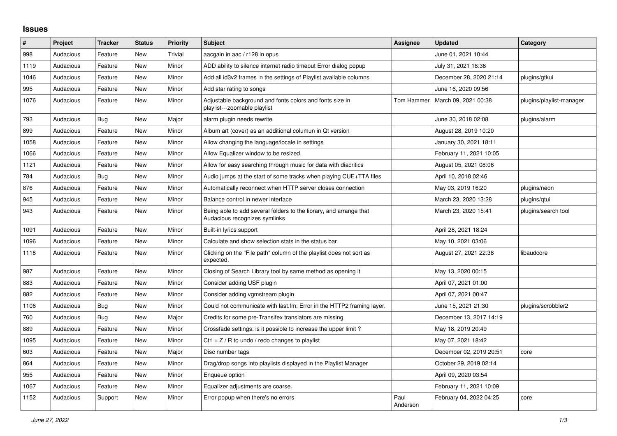## **Issues**

| #    | Project   | <b>Tracker</b> | <b>Status</b> | <b>Priority</b> | <b>Subject</b>                                                                                      | <b>Assignee</b>  | <b>Updated</b>          | Category                 |
|------|-----------|----------------|---------------|-----------------|-----------------------------------------------------------------------------------------------------|------------------|-------------------------|--------------------------|
| 998  | Audacious | Feature        | New           | Trivial         | aacgain in aac / r128 in opus                                                                       |                  | June 01, 2021 10:44     |                          |
| 1119 | Audacious | Feature        | <b>New</b>    | Minor           | ADD ability to silence internet radio timeout Error dialog popup                                    |                  | July 31, 2021 18:36     |                          |
| 1046 | Audacious | Feature        | New           | Minor           | Add all id3v2 frames in the settings of Playlist available columns                                  |                  | December 28, 2020 21:14 | plugins/gtkui            |
| 995  | Audacious | Feature        | New           | Minor           | Add star rating to songs                                                                            |                  | June 16, 2020 09:56     |                          |
| 1076 | Audacious | Feature        | New           | Minor           | Adjustable background and fonts colors and fonts size in<br>playlist---zoomable playlist            | Tom Hammer       | March 09, 2021 00:38    | plugins/playlist-manager |
| 793  | Audacious | Bug            | <b>New</b>    | Major           | alarm plugin needs rewrite                                                                          |                  | June 30, 2018 02:08     | plugins/alarm            |
| 899  | Audacious | Feature        | <b>New</b>    | Minor           | Album art (cover) as an additional columun in Qt version                                            |                  | August 28, 2019 10:20   |                          |
| 1058 | Audacious | Feature        | New           | Minor           | Allow changing the language/locale in settings                                                      |                  | January 30, 2021 18:11  |                          |
| 1066 | Audacious | Feature        | New           | Minor           | Allow Equalizer window to be resized.                                                               |                  | February 11, 2021 10:05 |                          |
| 1121 | Audacious | Feature        | <b>New</b>    | Minor           | Allow for easy searching through music for data with diacritics                                     |                  | August 05, 2021 08:06   |                          |
| 784  | Audacious | <b>Bug</b>     | <b>New</b>    | Minor           | Audio jumps at the start of some tracks when playing CUE+TTA files                                  |                  | April 10, 2018 02:46    |                          |
| 876  | Audacious | Feature        | <b>New</b>    | Minor           | Automatically reconnect when HTTP server closes connection                                          |                  | May 03, 2019 16:20      | plugins/neon             |
| 945  | Audacious | Feature        | <b>New</b>    | Minor           | Balance control in newer interface                                                                  |                  | March 23, 2020 13:28    | plugins/gtui             |
| 943  | Audacious | Feature        | New           | Minor           | Being able to add several folders to the library, and arrange that<br>Audacious recognizes symlinks |                  | March 23, 2020 15:41    | plugins/search tool      |
| 1091 | Audacious | Feature        | <b>New</b>    | Minor           | Built-in lyrics support                                                                             |                  | April 28, 2021 18:24    |                          |
| 1096 | Audacious | Feature        | <b>New</b>    | Minor           | Calculate and show selection stats in the status bar                                                |                  | May 10, 2021 03:06      |                          |
| 1118 | Audacious | Feature        | New           | Minor           | Clicking on the "File path" column of the playlist does not sort as<br>expected.                    |                  | August 27, 2021 22:38   | libaudcore               |
| 987  | Audacious | Feature        | New           | Minor           | Closing of Search Library tool by same method as opening it                                         |                  | May 13, 2020 00:15      |                          |
| 883  | Audacious | Feature        | <b>New</b>    | Minor           | Consider adding USF plugin                                                                          |                  | April 07, 2021 01:00    |                          |
| 882  | Audacious | Feature        | New           | Minor           | Consider adding vgmstream plugin                                                                    |                  | April 07, 2021 00:47    |                          |
| 1106 | Audacious | Bug            | <b>New</b>    | Minor           | Could not communicate with last.fm: Error in the HTTP2 framing layer.                               |                  | June 15, 2021 21:30     | plugins/scrobbler2       |
| 760  | Audacious | Bug            | New           | Major           | Credits for some pre-Transifex translators are missing                                              |                  | December 13, 2017 14:19 |                          |
| 889  | Audacious | Feature        | <b>New</b>    | Minor           | Crossfade settings: is it possible to increase the upper limit?                                     |                  | May 18, 2019 20:49      |                          |
| 1095 | Audacious | Feature        | New           | Minor           | Ctrl + $Z$ / R to undo / redo changes to playlist                                                   |                  | May 07, 2021 18:42      |                          |
| 603  | Audacious | Feature        | New           | Major           | Disc number tags                                                                                    |                  | December 02, 2019 20:51 | core                     |
| 864  | Audacious | Feature        | <b>New</b>    | Minor           | Drag/drop songs into playlists displayed in the Playlist Manager                                    |                  | October 29, 2019 02:14  |                          |
| 955  | Audacious | Feature        | <b>New</b>    | Minor           | Enqueue option                                                                                      |                  | April 09, 2020 03:54    |                          |
| 1067 | Audacious | Feature        | <b>New</b>    | Minor           | Equalizer adjustments are coarse.                                                                   |                  | February 11, 2021 10:09 |                          |
| 1152 | Audacious | Support        | New           | Minor           | Error popup when there's no errors                                                                  | Paul<br>Anderson | February 04, 2022 04:25 | core                     |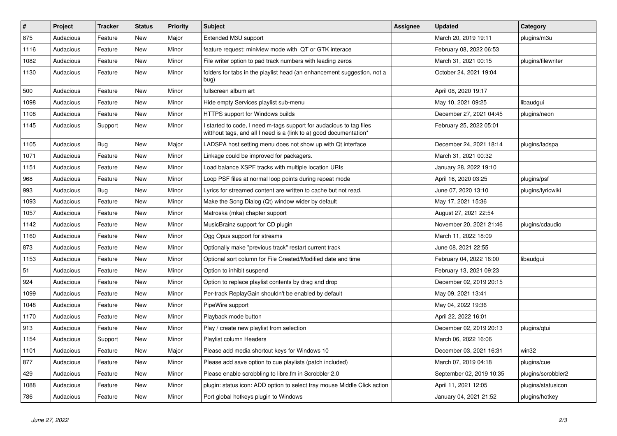| $\sharp$ | Project   | <b>Tracker</b> | <b>Status</b> | <b>Priority</b> | <b>Subject</b>                                                                                                                            | <b>Assignee</b> | <b>Updated</b>           | Category           |
|----------|-----------|----------------|---------------|-----------------|-------------------------------------------------------------------------------------------------------------------------------------------|-----------------|--------------------------|--------------------|
| 875      | Audacious | Feature        | New           | Major           | Extended M3U support                                                                                                                      |                 | March 20, 2019 19:11     | plugins/m3u        |
| 1116     | Audacious | Feature        | New           | Minor           | feature request: miniview mode with QT or GTK interace                                                                                    |                 | February 08, 2022 06:53  |                    |
| 1082     | Audacious | Feature        | New           | Minor           | File writer option to pad track numbers with leading zeros                                                                                |                 | March 31, 2021 00:15     | plugins/filewriter |
| 1130     | Audacious | Feature        | New           | Minor           | folders for tabs in the playlist head (an enhancement suggestion, not a<br>bug)                                                           |                 | October 24, 2021 19:04   |                    |
| 500      | Audacious | Feature        | <b>New</b>    | Minor           | fullscreen album art                                                                                                                      |                 | April 08, 2020 19:17     |                    |
| 1098     | Audacious | Feature        | <b>New</b>    | Minor           | Hide empty Services playlist sub-menu                                                                                                     |                 | May 10, 2021 09:25       | libaudgui          |
| 1108     | Audacious | Feature        | New           | Minor           | HTTPS support for Windows builds                                                                                                          |                 | December 27, 2021 04:45  | plugins/neon       |
| 1145     | Audacious | Support        | New           | Minor           | I started to code, I need m-tags support for audacious to tag files<br>witthout tags, and all I need is a (link to a) good documentation* |                 | February 25, 2022 05:01  |                    |
| 1105     | Audacious | Bug            | <b>New</b>    | Major           | LADSPA host setting menu does not show up with Qt interface                                                                               |                 | December 24, 2021 18:14  | plugins/ladspa     |
| 1071     | Audacious | Feature        | New           | Minor           | Linkage could be improved for packagers.                                                                                                  |                 | March 31, 2021 00:32     |                    |
| 1151     | Audacious | Feature        | New           | Minor           | Load balance XSPF tracks with multiple location URIs                                                                                      |                 | January 28, 2022 19:10   |                    |
| 968      | Audacious | Feature        | <b>New</b>    | Minor           | Loop PSF files at normal loop points during repeat mode                                                                                   |                 | April 16, 2020 03:25     | plugins/psf        |
| 993      | Audacious | <b>Bug</b>     | New           | Minor           | Lyrics for streamed content are written to cache but not read.                                                                            |                 | June 07, 2020 13:10      | plugins/lyricwiki  |
| 1093     | Audacious | Feature        | New           | Minor           | Make the Song Dialog (Qt) window wider by default                                                                                         |                 | May 17, 2021 15:36       |                    |
| 1057     | Audacious | Feature        | <b>New</b>    | Minor           | Matroska (mka) chapter support                                                                                                            |                 | August 27, 2021 22:54    |                    |
| 1142     | Audacious | Feature        | New           | Minor           | MusicBrainz support for CD plugin                                                                                                         |                 | November 20, 2021 21:46  | plugins/cdaudio    |
| 1160     | Audacious | Feature        | New           | Minor           | Ogg Opus support for streams                                                                                                              |                 | March 11, 2022 18:09     |                    |
| 873      | Audacious | Feature        | <b>New</b>    | Minor           | Optionally make "previous track" restart current track                                                                                    |                 | June 08, 2021 22:55      |                    |
| 1153     | Audacious | Feature        | <b>New</b>    | Minor           | Optional sort column for File Created/Modified date and time                                                                              |                 | February 04, 2022 16:00  | libaudgui          |
| 51       | Audacious | Feature        | New           | Minor           | Option to inhibit suspend                                                                                                                 |                 | February 13, 2021 09:23  |                    |
| 924      | Audacious | Feature        | New           | Minor           | Option to replace playlist contents by drag and drop                                                                                      |                 | December 02, 2019 20:15  |                    |
| 1099     | Audacious | Feature        | New           | Minor           | Per-track ReplayGain shouldn't be enabled by default                                                                                      |                 | May 09, 2021 13:41       |                    |
| 1048     | Audacious | Feature        | <b>New</b>    | Minor           | PipeWire support                                                                                                                          |                 | May 04, 2022 19:36       |                    |
| 1170     | Audacious | Feature        | <b>New</b>    | Minor           | Playback mode button                                                                                                                      |                 | April 22, 2022 16:01     |                    |
| 913      | Audacious | Feature        | New           | Minor           | Play / create new playlist from selection                                                                                                 |                 | December 02, 2019 20:13  | plugins/gtui       |
| 1154     | Audacious | Support        | New           | Minor           | Playlist column Headers                                                                                                                   |                 | March 06, 2022 16:06     |                    |
| 1101     | Audacious | Feature        | New           | Major           | Please add media shortcut keys for Windows 10                                                                                             |                 | December 03, 2021 16:31  | win32              |
| 877      | Audacious | Feature        | New           | Minor           | Please add save option to cue playlists (patch included)                                                                                  |                 | March 07, 2019 04:18     | plugins/cue        |
| 429      | Audacious | Feature        | <b>New</b>    | Minor           | Please enable scrobbling to libre.fm in Scrobbler 2.0                                                                                     |                 | September 02, 2019 10:35 | plugins/scrobbler2 |
| 1088     | Audacious | Feature        | New           | Minor           | plugin: status icon: ADD option to select tray mouse Middle Click action                                                                  |                 | April 11, 2021 12:05     | plugins/statusicon |
| 786      | Audacious | Feature        | New           | Minor           | Port global hotkeys plugin to Windows                                                                                                     |                 | January 04, 2021 21:52   | plugins/hotkey     |